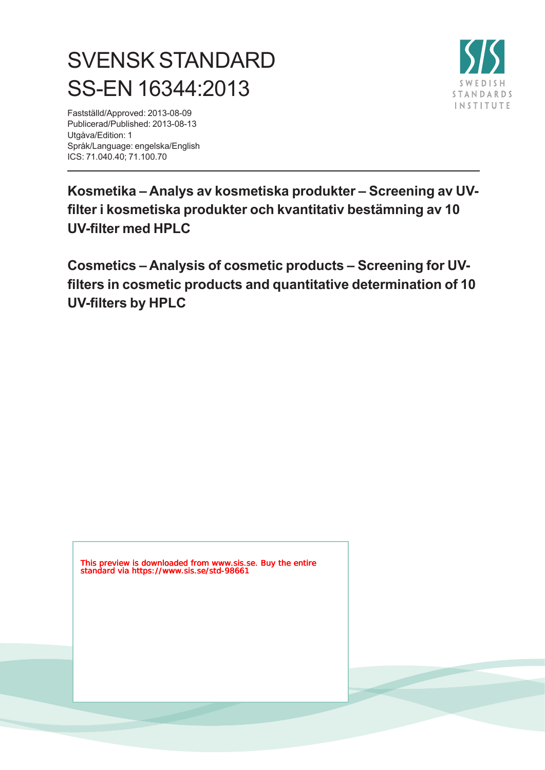# SVENSK STANDARD SS-EN 16344:2013

**SWEDISH STANDARDS INSTITUTE** 

Fastställd/Approved: 2013-08-09 Publicerad/Published: 2013-08-13 Utgåva/Edition: 1 Språk/Language: engelska/English ICS: 71.040.40; 71.100.70

**Kosmetika – Analys av kosmetiska produkter – Screening av UVfilter i kosmetiska produkter och kvantitativ bestämning av 10 UV-filter med HPLC**

**Cosmetics – Analysis of cosmetic products – Screening for UVfilters in cosmetic products and quantitative determination of 10 UV-filters by HPLC**

This preview is downloaded from www.sis.se. Buy the entire standard via https://www.sis.se/std-98661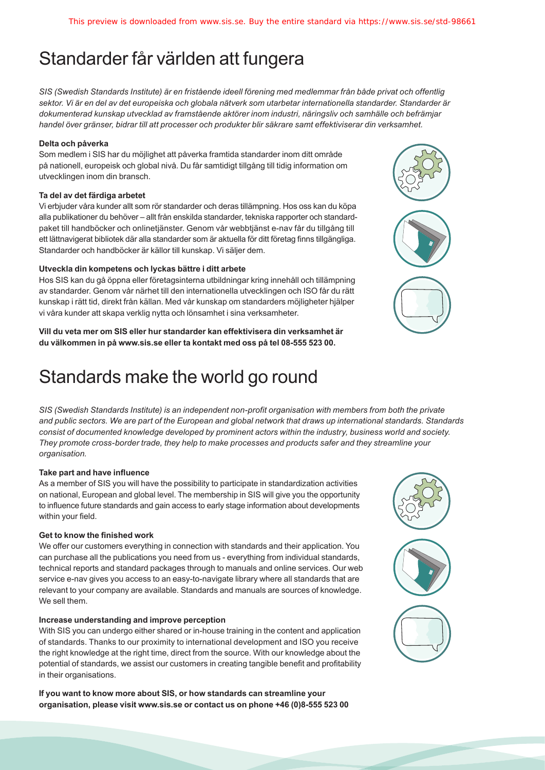## Standarder får världen att fungera

*SIS (Swedish Standards Institute) är en fristående ideell förening med medlemmar från både privat och offentlig sektor. Vi är en del av det europeiska och globala nätverk som utarbetar internationella standarder. Standarder är dokumenterad kunskap utvecklad av framstående aktörer inom industri, näringsliv och samhälle och befrämjar handel över gränser, bidrar till att processer och produkter blir säkrare samt effektiviserar din verksamhet.* 

#### **Delta och påverka**

Som medlem i SIS har du möjlighet att påverka framtida standarder inom ditt område på nationell, europeisk och global nivå. Du får samtidigt tillgång till tidig information om utvecklingen inom din bransch.

#### **Ta del av det färdiga arbetet**

Vi erbjuder våra kunder allt som rör standarder och deras tillämpning. Hos oss kan du köpa alla publikationer du behöver – allt från enskilda standarder, tekniska rapporter och standardpaket till handböcker och onlinetjänster. Genom vår webbtjänst e-nav får du tillgång till ett lättnavigerat bibliotek där alla standarder som är aktuella för ditt företag finns tillgängliga. Standarder och handböcker är källor till kunskap. Vi säljer dem.

#### **Utveckla din kompetens och lyckas bättre i ditt arbete**

Hos SIS kan du gå öppna eller företagsinterna utbildningar kring innehåll och tillämpning av standarder. Genom vår närhet till den internationella utvecklingen och ISO får du rätt kunskap i rätt tid, direkt från källan. Med vår kunskap om standarders möjligheter hjälper vi våra kunder att skapa verklig nytta och lönsamhet i sina verksamheter.

**Vill du veta mer om SIS eller hur standarder kan effektivisera din verksamhet är du välkommen in på www.sis.se eller ta kontakt med oss på tel 08-555 523 00.**

## Standards make the world go round

*SIS (Swedish Standards Institute) is an independent non-profit organisation with members from both the private and public sectors. We are part of the European and global network that draws up international standards. Standards consist of documented knowledge developed by prominent actors within the industry, business world and society. They promote cross-border trade, they help to make processes and products safer and they streamline your organisation.*

#### **Take part and have influence**

As a member of SIS you will have the possibility to participate in standardization activities on national, European and global level. The membership in SIS will give you the opportunity to influence future standards and gain access to early stage information about developments within your field.

#### **Get to know the finished work**

We offer our customers everything in connection with standards and their application. You can purchase all the publications you need from us - everything from individual standards, technical reports and standard packages through to manuals and online services. Our web service e-nav gives you access to an easy-to-navigate library where all standards that are relevant to your company are available. Standards and manuals are sources of knowledge. We sell them.

#### **Increase understanding and improve perception**

With SIS you can undergo either shared or in-house training in the content and application of standards. Thanks to our proximity to international development and ISO you receive the right knowledge at the right time, direct from the source. With our knowledge about the potential of standards, we assist our customers in creating tangible benefit and profitability in their organisations.

**If you want to know more about SIS, or how standards can streamline your organisation, please visit www.sis.se or contact us on phone +46 (0)8-555 523 00**



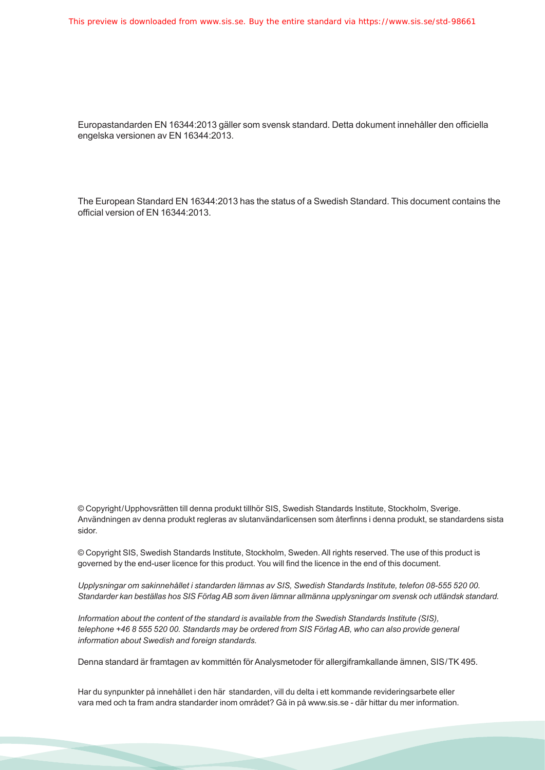Europastandarden EN 16344:2013 gäller som svensk standard. Detta dokument innehåller den officiella engelska versionen av EN 16344:2013.

The European Standard EN 16344:2013 has the status of a Swedish Standard. This document contains the official version of EN 16344:2013.

© Copyright / Upphovsrätten till denna produkt tillhör SIS, Swedish Standards Institute, Stockholm, Sverige. Användningen av denna produkt regleras av slutanvändarlicensen som återfinns i denna produkt, se standardens sista sidor.

© Copyright SIS, Swedish Standards Institute, Stockholm, Sweden. All rights reserved. The use of this product is governed by the end-user licence for this product. You will find the licence in the end of this document.

*Upplysningar om sakinnehållet i standarden lämnas av SIS, Swedish Standards Institute, telefon 08-555 520 00. Standarder kan beställas hos SIS Förlag AB som även lämnar allmänna upplysningar om svensk och utländsk standard.*

*Information about the content of the standard is available from the Swedish Standards Institute (SIS), telephone +46 8 555 520 00. Standards may be ordered from SIS Förlag AB, who can also provide general information about Swedish and foreign standards.*

Denna standard är framtagen av kommittén för Analysmetoder för allergiframkallande ämnen, SIS / TK 495.

Har du synpunkter på innehållet i den här standarden, vill du delta i ett kommande revideringsarbete eller vara med och ta fram andra standarder inom området? Gå in på www.sis.se - där hittar du mer information.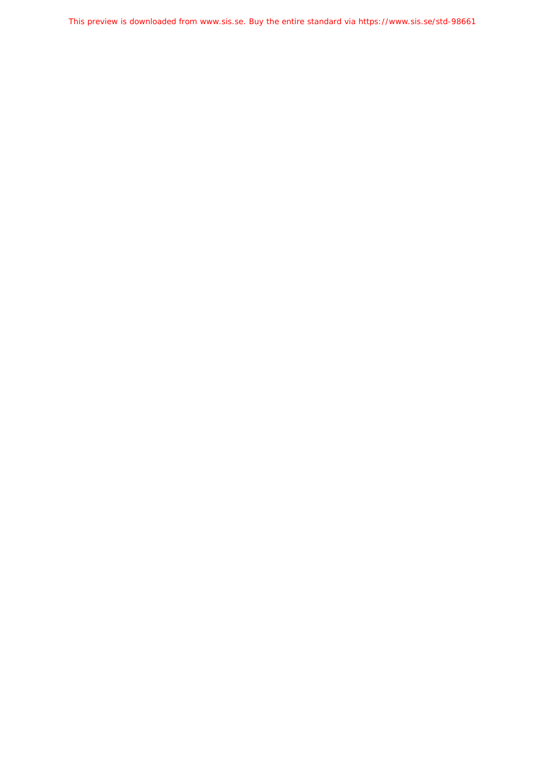This preview is downloaded from www.sis.se. Buy the entire standard via https://www.sis.se/std-98661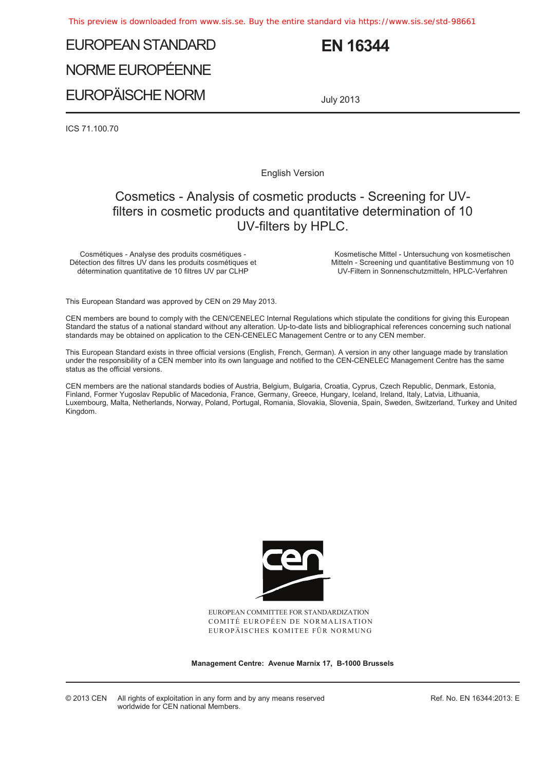## EUROPEAN STANDARD NORME EUROPÉENNE EUROPÄISCHE NORM

### **EN 16344**

July 2013

ICS 71.100.70

English Version

### Cosmetics - Analysis of cosmetic products - Screening for UVfilters in cosmetic products and quantitative determination of 10 UV-filters by HPLC.

Cosmétiques - Analyse des produits cosmétiques - Détection des filtres UV dans les produits cosmétiques et détermination quantitative de 10 filtres UV par CLHP

Kosmetische Mittel - Untersuchung von kosmetischen Mitteln - Screening und quantitative Bestimmung von 10 UV-Filtern in Sonnenschutzmitteln, HPLC-Verfahren

This European Standard was approved by CEN on 29 May 2013.

CEN members are bound to comply with the CEN/CENELEC Internal Regulations which stipulate the conditions for giving this European Standard the status of a national standard without any alteration. Up-to-date lists and bibliographical references concerning such national standards may be obtained on application to the CEN-CENELEC Management Centre or to any CEN member.

This European Standard exists in three official versions (English, French, German). A version in any other language made by translation under the responsibility of a CEN member into its own language and notified to the CEN-CENELEC Management Centre has the same status as the official versions.

CEN members are the national standards bodies of Austria, Belgium, Bulgaria, Croatia, Cyprus, Czech Republic, Denmark, Estonia, Finland, Former Yugoslav Republic of Macedonia, France, Germany, Greece, Hungary, Iceland, Ireland, Italy, Latvia, Lithuania, Luxembourg, Malta, Netherlands, Norway, Poland, Portugal, Romania, Slovakia, Slovenia, Spain, Sweden, Switzerland, Turkey and United Kingdom.



EUROPEAN COMMITTEE FOR STANDARDIZATION COMITÉ EUROPÉEN DE NORMALISATION EUROPÄISCHES KOMITEE FÜR NORMUNG

**Management Centre: Avenue Marnix 17, B-1000 Brussels**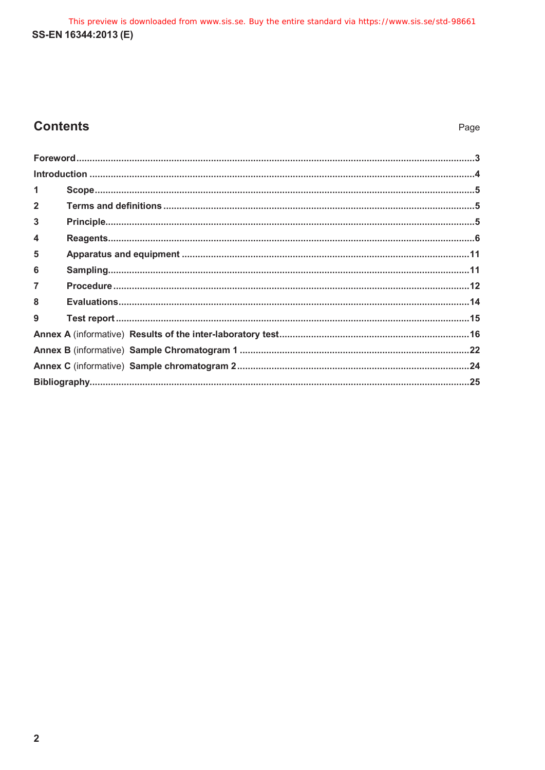This preview is downloaded from www.sis.se. Buy the entire standard via https://www.sis.se/std-98661 SS-EN 16344:2013 (E)

### **Contents**

Page

| $\mathbf{1}$            |  |  |  |
|-------------------------|--|--|--|
| $\overline{2}$          |  |  |  |
| $\overline{3}$          |  |  |  |
| $\overline{\mathbf{4}}$ |  |  |  |
| 5                       |  |  |  |
| 6                       |  |  |  |
| $\overline{7}$          |  |  |  |
| 8                       |  |  |  |
| 9                       |  |  |  |
|                         |  |  |  |
|                         |  |  |  |
|                         |  |  |  |
|                         |  |  |  |
|                         |  |  |  |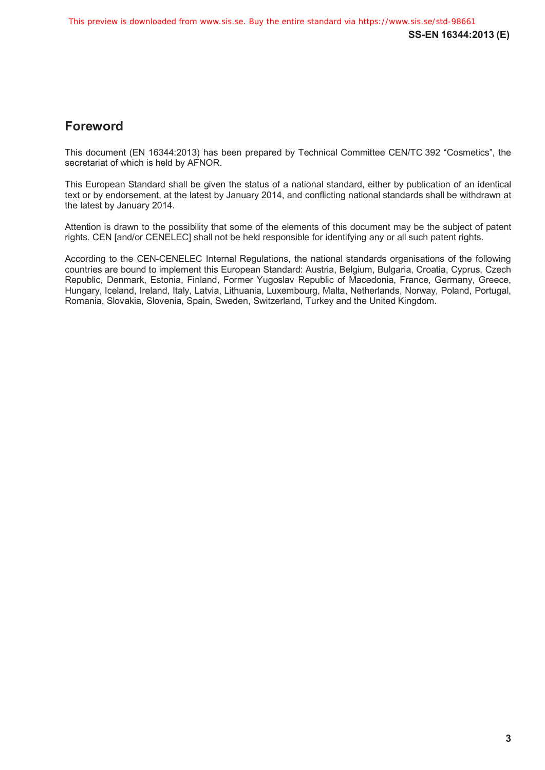### **Foreword**

This document (EN 16344:2013) has been prepared by Technical Committee CEN/TC 392 "Cosmetics", the secretariat of which is held by AFNOR.

This European Standard shall be given the status of a national standard, either by publication of an identical text or by endorsement, at the latest by January 2014, and conflicting national standards shall be withdrawn at the latest by January 2014.

Attention is drawn to the possibility that some of the elements of this document may be the subject of patent rights. CEN [and/or CENELEC] shall not be held responsible for identifying any or all such patent rights.

According to the CEN-CENELEC Internal Regulations, the national standards organisations of the following countries are bound to implement this European Standard: Austria, Belgium, Bulgaria, Croatia, Cyprus, Czech Republic, Denmark, Estonia, Finland, Former Yugoslav Republic of Macedonia, France, Germany, Greece, Hungary, Iceland, Ireland, Italy, Latvia, Lithuania, Luxembourg, Malta, Netherlands, Norway, Poland, Portugal, Romania, Slovakia, Slovenia, Spain, Sweden, Switzerland, Turkey and the United Kingdom.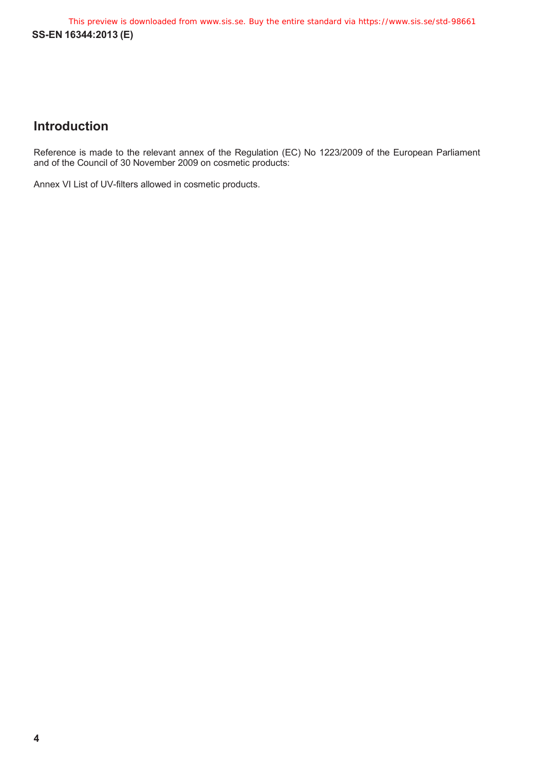### **Introduction**

Reference is made to the relevant annex of the Regulation (EC) No 1223/2009 of the European Parliament and of the Council of 30 November 2009 on cosmetic products:

Annex VI List of UV-filters allowed in cosmetic products.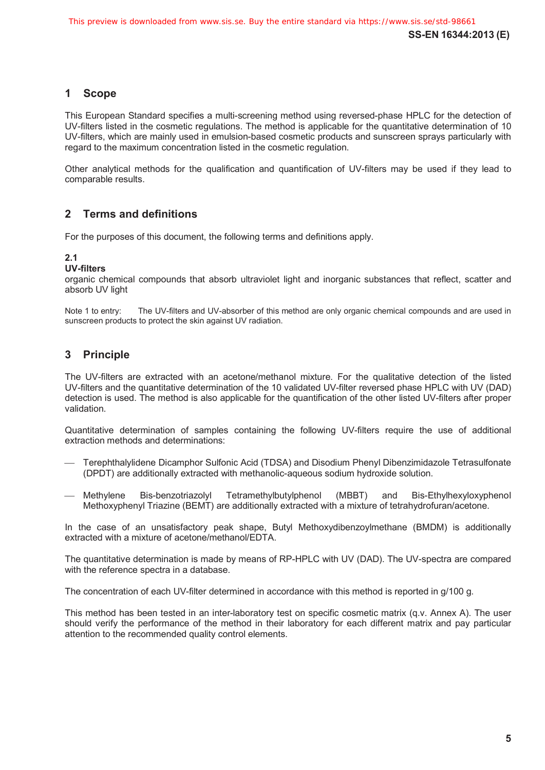### **1 Scope**

This European Standard specifies a multi-screening method using reversed-phase HPLC for the detection of UV-filters listed in the cosmetic regulations. The method is applicable for the quantitative determination of 10 UV-filters, which are mainly used in emulsion-based cosmetic products and sunscreen sprays particularly with regard to the maximum concentration listed in the cosmetic regulation.

Other analytical methods for the qualification and quantification of UV-filters may be used if they lead to comparable results.

### **2 Terms and definitions**

For the purposes of this document, the following terms and definitions apply.

### **2.1**

### **UV-filters**

organic chemical compounds that absorb ultraviolet light and inorganic substances that reflect, scatter and absorb UV light

Note 1 to entry: The UV-filters and UV-absorber of this method are only organic chemical compounds and are used in sunscreen products to protect the skin against UV radiation.

### **3 Principle**

The UV-filters are extracted with an acetone/methanol mixture. For the qualitative detection of the listed UV-filters and the quantitative determination of the 10 validated UV-filter reversed phase HPLC with UV (DAD) detection is used. The method is also applicable for the quantification of the other listed UV-filters after proper validation.

Quantitative determination of samples containing the following UV-filters require the use of additional extraction methods and determinations:

- Terephthalylidene Dicamphor Sulfonic Acid (TDSA) and Disodium Phenyl Dibenzimidazole Tetrasulfonate (DPDT) are additionally extracted with methanolic-aqueous sodium hydroxide solution.
- Methylene Bis-benzotriazolyl Tetramethylbutylphenol (MBBT) and Bis-Ethylhexyloxyphenol Methoxyphenyl Triazine (BEMT) are additionally extracted with a mixture of tetrahydrofuran/acetone.

In the case of an unsatisfactory peak shape, Butyl Methoxydibenzoylmethane (BMDM) is additionally extracted with a mixture of acetone/methanol/EDTA.

The quantitative determination is made by means of RP-HPLC with UV (DAD). The UV-spectra are compared with the reference spectra in a database.

The concentration of each UV-filter determined in accordance with this method is reported in g/100 g.

This method has been tested in an inter-laboratory test on specific cosmetic matrix (q.v. Annex A). The user should verify the performance of the method in their laboratory for each different matrix and pay particular attention to the recommended quality control elements.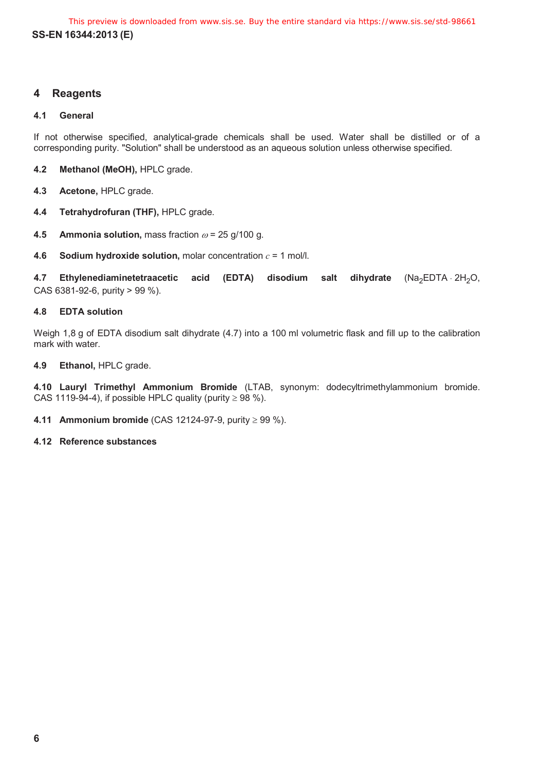### **4 Reagents**

### **4.1 General**

If not otherwise specified, analytical-grade chemicals shall be used. Water shall be distilled or of a corresponding purity. "Solution" shall be understood as an aqueous solution unless otherwise specified.

- **4.2 Methanol (MeOH),** HPLC grade.
- **4.3 Acetone,** HPLC grade.
- **4.4 Tetrahydrofuran (THF),** HPLC grade.
- **4.5 Ammonia solution,** mass fraction  $\omega = 25$  g/100 g.
- **4.6 Sodium hydroxide solution,** molar concentration *c* = 1 mol/l.

**4.7 Ethylenediaminetetraacetic acid (EDTA) disodium salt dihydrate** (Na<sub>2</sub>EDTA ⋅ 2H<sub>2</sub>O, CAS 6381-92-6, purity > 99 %).

### **4.8 EDTA solution**

Weigh 1,8 g of EDTA disodium salt dihydrate (4.7) into a 100 ml volumetric flask and fill up to the calibration mark with water.

**4.9 Ethanol,** HPLC grade.

**4.10 Lauryl Trimethyl Ammonium Bromide** (LTAB, synonym: dodecyltrimethylammonium bromide. CAS 1119-94-4), if possible HPLC quality (purity  $\geq$  98 %).

**4.11 Ammonium bromide** (CAS 12124-97-9, purity ≥ 99 %).

#### **4.12 Reference substances**